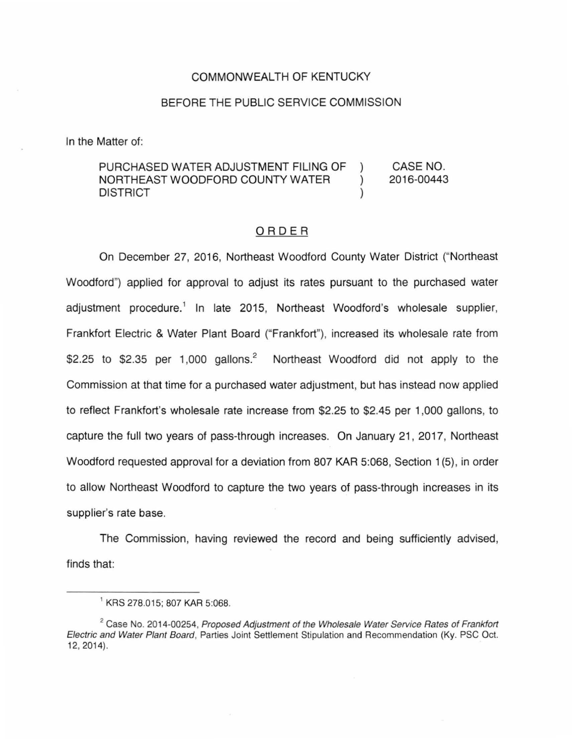### COMMONWEALTH OF KENTUCKY

### BEFORE THE PUBLIC SERVICE COMMISSION

In the Matter of:

PURCHASED WATER ADJUSTMENT FILING OF CASE NO. NORTHEAST WOODFORD COUNTY WATER 2016-00443  $\mathcal{L}$ DISTRICT

## ORDER

On December 27, 2016, Northeast Woodford County Water District ("Northeast Woodford") applied for approval to adjust its rates pursuant to the purchased water adjustment procedure.<sup>1</sup> In late 2015, Northeast Woodford's wholesale supplier, Frankfort Electric & Water Plant Board ("Frankfort"), increased its wholesale rate from \$2.25 to \$2.35 per 1,000 gallons.<sup>2</sup> Northeast Woodford did not apply to the Commission at that time for a purchased water adjustment, but has instead now applied to reflect Frankfort's wholesale rate increase from \$2.25 to \$2.45 per 1,000 gallons, to capture the full two years of pass-through increases. On January 21 , 2017, Northeast Woodford requested approval for a deviation from 807 KAR 5:068, Section 1 {5), in order to allow Northeast Woodford to capture the two years of pass-through increases in its supplier's rate base.

The Commission, having reviewed the record and being sufficiently advised, finds that:

<sup>1</sup>KRS 278.015; 807 KAR 5:068.

 $2^2$  Case No. 2014-00254, Proposed Adjustment of the Wholesale Water Service Rates of Frankfort Electric and Water Plant Board, Parties Joint Settlement Stipulation and Recommendation (Ky. PSC Oct. 12, 2014).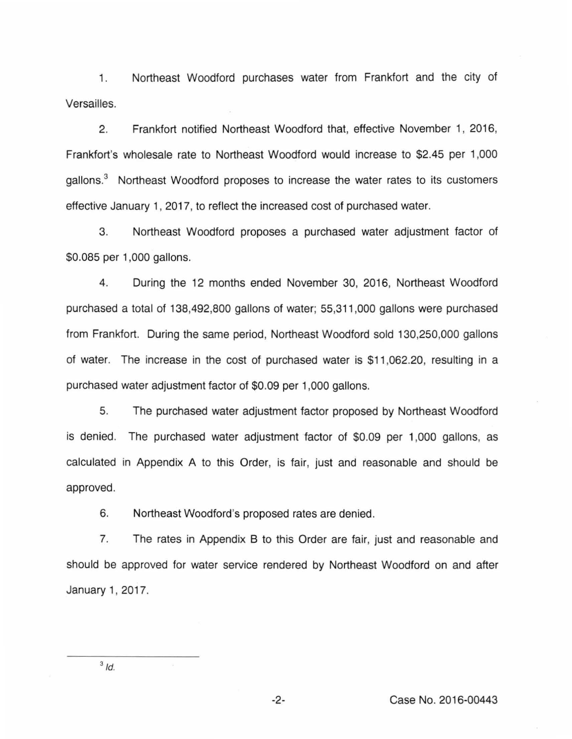1. Northeast Woodford purchases water from Frankfort and the city of Versailles.

2. Frankfort notified Northeast Woodford that, effective November 1, 2016, Frankfort's wholesale rate to Northeast Woodford would increase to \$2.45 per 1 ,000 gallons.<sup>3</sup> Northeast Woodford proposes to increase the water rates to its customers effective January 1, 2017, to reflect the increased cost of purchased water.

3. Northeast Woodford proposes a purchased water adjustment factor of \$0.085 per 1,000 gallons.

4. During the 12 months ended November 30, 2016, Northeast Woodford purchased a total of 138,492,800 gallons of water; 55,311 ,000 gallons were purchased from Frankfort. During the same period, Northeast Woodford sold 130,250,000 gallons of water. The increase in the cost of purchased water is \$11 ,062.20, resulting in a purchased water adjustment factor of \$0.09 per 1 ,000 gallons.

5. The purchased water adjustment factor proposed by Northeast Woodford is denied. The purchased water adjustment factor of \$0.09 per 1 ,000 gallons, as calculated in Appendix A to this Order, is fair, just and reasonable and should be approved.

6. Northeast Woodford's proposed rates are denied.

7. The rates in Appendix B to this Order are fair, just and reasonable and should be approved for water service rendered by Northeast Woodford on and after January 1, 2017.

 $3/d$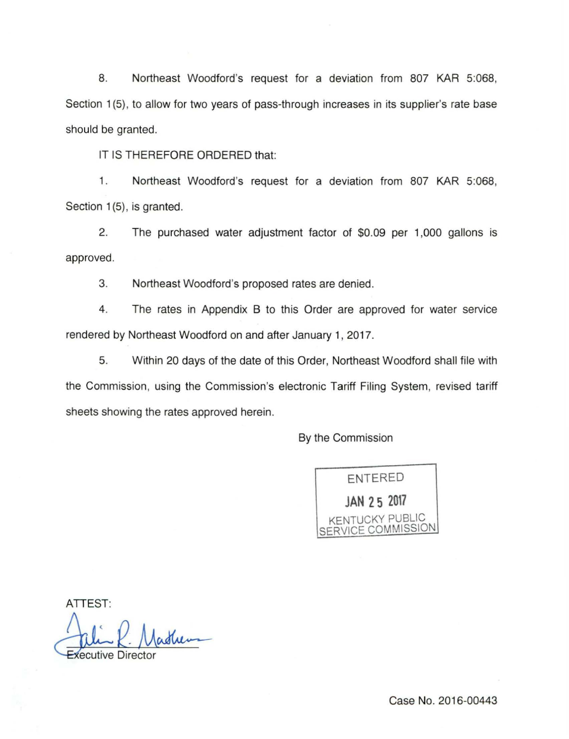8. Northeast Woodford's request for a deviation from 807 KAR 5:068, Section 1(5), to allow for two years of pass-through increases in its supplier's rate base should be granted.

IT IS THEREFORE ORDERED that:

1. Northeast Woodford's request for a deviation from 807 KAR 5:068, Section 1(5), is granted.

2. The purchased water adjustment factor of \$0.09 per 1,000 gallons is approved .

3. Northeast Woodford's proposed rates are denied.

4. The rates in Appendix B to this Order are approved for water service rendered by Northeast Woodford on and after January 1, 2017.

5. Within 20 days of the date of this Order, Northeast Woodford shall file with the Commission, using the Commission's electronic Tariff Filing System, revised tariff sheets showing the rates approved herein.

By the Commission



ATTEST:

Pulin P. Madrem

Case No. 2016-00443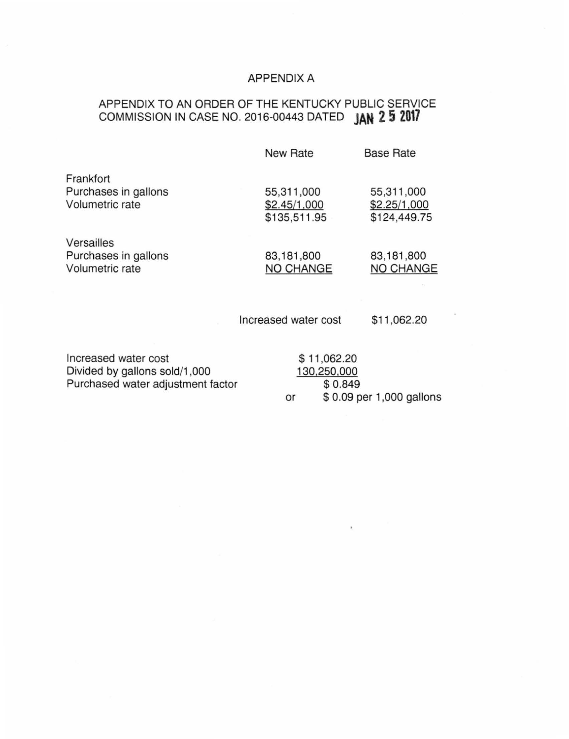# APPENDIX A

## APPENDIX TO AN ORDER OF THE KENTUCKY PUBLIC SERVICE COMMISSION IN CASE NO. 2016-00443 DATED **JAN 2 5 2017**

|                                                       | <b>New Rate</b>                            | <b>Base Rate</b>                           |
|-------------------------------------------------------|--------------------------------------------|--------------------------------------------|
| Frankfort<br>Purchases in gallons<br>Volumetric rate  | 55,311,000<br>\$2.45/1,000<br>\$135,511.95 | 55,311,000<br>\$2.25/1,000<br>\$124,449.75 |
| Versailles<br>Purchases in gallons<br>Volumetric rate | 83,181,800<br>NO CHANGE                    | 83,181,800<br>NO CHANGE                    |
|                                                       | Increased water cost                       | \$11,062.20                                |
| Incroaced water cost                                  | 0.1100000                                  |                                            |

Increased water cost Divided by gallons sold/1 ,000 Purchased water adjustment factor \$ 11 ,062.20 130,250,000 \$0.849

or \$ 0.09 per 1,000 gallons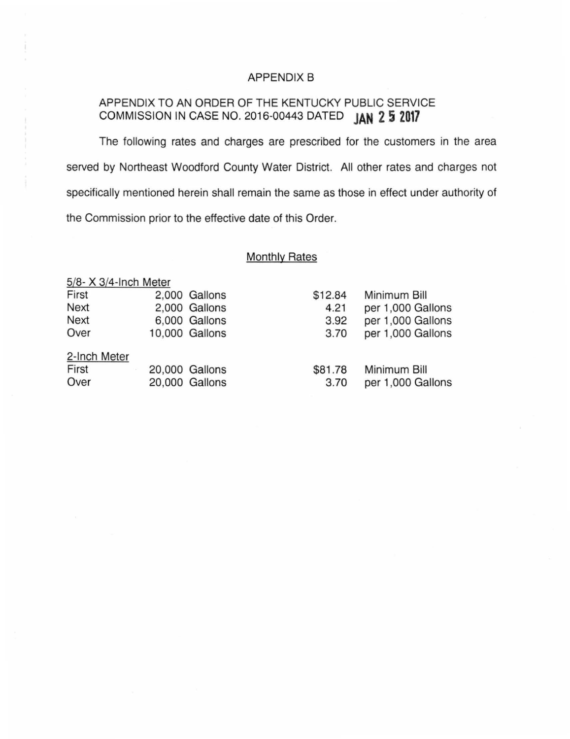## APPENDIX B

# APPENDIX TO AN ORDER OF THE KENTUCKY PUBLIC SERVICE COMMISSION IN CASE NO. 2016-00443 DATED **JAN 2 5 2017**

The following rates and charges are prescribed for the customers in the area served by Northeast Woodford County Water District. All other rates and charges not specifically mentioned herein shall remain the same as those in effect under authority of the Commission prior to the effective date of this Order.

## Monthly Rates

| 5/8- X 3/4-Inch Meter |                                                                                                       |                   |
|-----------------------|-------------------------------------------------------------------------------------------------------|-------------------|
|                       | \$12.84                                                                                               | Minimum Bill      |
|                       | 4.21                                                                                                  | per 1,000 Gallons |
|                       | 3.92                                                                                                  | per 1,000 Gallons |
|                       | 3.70                                                                                                  | per 1,000 Gallons |
|                       |                                                                                                       |                   |
|                       | \$81.78                                                                                               | Minimum Bill      |
|                       | 3.70                                                                                                  | per 1,000 Gallons |
|                       | 2,000 Gallons<br>2,000 Gallons<br>6,000 Gallons<br>10,000 Gallons<br>20,000 Gallons<br>20,000 Gallons |                   |